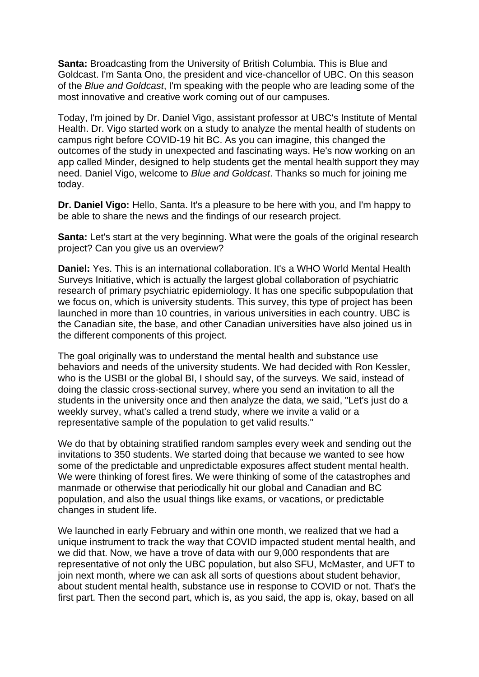**Santa:** Broadcasting from the University of British Columbia. This is Blue and Goldcast. I'm Santa Ono, the president and vice-chancellor of UBC. On this season of the *Blue and Goldcast*, I'm speaking with the people who are leading some of the most innovative and creative work coming out of our campuses.

Today, I'm joined by Dr. Daniel Vigo, assistant professor at UBC's Institute of Mental Health. Dr. Vigo started work on a study to analyze the mental health of students on campus right before COVID-19 hit BC. As you can imagine, this changed the outcomes of the study in unexpected and fascinating ways. He's now working on an app called Minder, designed to help students get the mental health support they may need. Daniel Vigo, welcome to *Blue and Goldcast*. Thanks so much for joining me today.

**Dr. Daniel Vigo:** Hello, Santa. It's a pleasure to be here with you, and I'm happy to be able to share the news and the findings of our research project.

**Santa:** Let's start at the very beginning. What were the goals of the original research project? Can you give us an overview?

**Daniel:** Yes. This is an international collaboration. It's a WHO World Mental Health Surveys Initiative, which is actually the largest global collaboration of psychiatric research of primary psychiatric epidemiology. It has one specific subpopulation that we focus on, which is university students. This survey, this type of project has been launched in more than 10 countries, in various universities in each country. UBC is the Canadian site, the base, and other Canadian universities have also joined us in the different components of this project.

The goal originally was to understand the mental health and substance use behaviors and needs of the university students. We had decided with Ron Kessler, who is the USBI or the global BI, I should say, of the surveys. We said, instead of doing the classic cross-sectional survey, where you send an invitation to all the students in the university once and then analyze the data, we said, "Let's just do a weekly survey, what's called a trend study, where we invite a valid or a representative sample of the population to get valid results."

We do that by obtaining stratified random samples every week and sending out the invitations to 350 students. We started doing that because we wanted to see how some of the predictable and unpredictable exposures affect student mental health. We were thinking of forest fires. We were thinking of some of the catastrophes and manmade or otherwise that periodically hit our global and Canadian and BC population, and also the usual things like exams, or vacations, or predictable changes in student life.

We launched in early February and within one month, we realized that we had a unique instrument to track the way that COVID impacted student mental health, and we did that. Now, we have a trove of data with our 9,000 respondents that are representative of not only the UBC population, but also SFU, McMaster, and UFT to join next month, where we can ask all sorts of questions about student behavior, about student mental health, substance use in response to COVID or not. That's the first part. Then the second part, which is, as you said, the app is, okay, based on all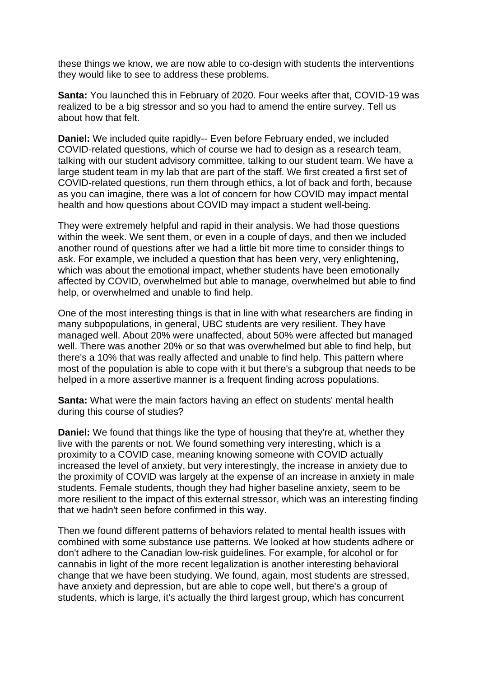these things we know, we are now able to co-design with students the interventions they would like to see to address these problems.

**Santa:** You launched this in February of 2020. Four weeks after that, COVID-19 was realized to be a big stressor and so you had to amend the entire survey. Tell us about how that felt.

**Daniel:** We included quite rapidly-- Even before February ended, we included COVID-related questions, which of course we had to design as a research team, talking with our student advisory committee, talking to our student team. We have a large student team in my lab that are part of the staff. We first created a first set of COVID-related questions, run them through ethics, a lot of back and forth, because as you can imagine, there was a lot of concern for how COVID may impact mental health and how questions about COVID may impact a student well-being.

They were extremely helpful and rapid in their analysis. We had those questions within the week. We sent them, or even in a couple of days, and then we included another round of questions after we had a little bit more time to consider things to ask. For example, we included a question that has been very, very enlightening, which was about the emotional impact, whether students have been emotionally affected by COVID, overwhelmed but able to manage, overwhelmed but able to find help, or overwhelmed and unable to find help.

One of the most interesting things is that in line with what researchers are finding in many subpopulations, in general, UBC students are very resilient. They have managed well. About 20% were unaffected, about 50% were affected but managed well. There was another 20% or so that was overwhelmed but able to find help, but there's a 10% that was really affected and unable to find help. This pattern where most of the population is able to cope with it but there's a subgroup that needs to be helped in a more assertive manner is a frequent finding across populations.

**Santa:** What were the main factors having an effect on students' mental health during this course of studies?

**Daniel:** We found that things like the type of housing that they're at, whether they live with the parents or not. We found something very interesting, which is a proximity to a COVID case, meaning knowing someone with COVID actually increased the level of anxiety, but very interestingly, the increase in anxiety due to the proximity of COVID was largely at the expense of an increase in anxiety in male students. Female students, though they had higher baseline anxiety, seem to be more resilient to the impact of this external stressor, which was an interesting finding that we hadn't seen before confirmed in this way.

Then we found different patterns of behaviors related to mental health issues with combined with some substance use patterns. We looked at how students adhere or don't adhere to the Canadian low-risk guidelines. For example, for alcohol or for cannabis in light of the more recent legalization is another interesting behavioral change that we have been studying. We found, again, most students are stressed, have anxiety and depression, but are able to cope well, but there's a group of students, which is large, it's actually the third largest group, which has concurrent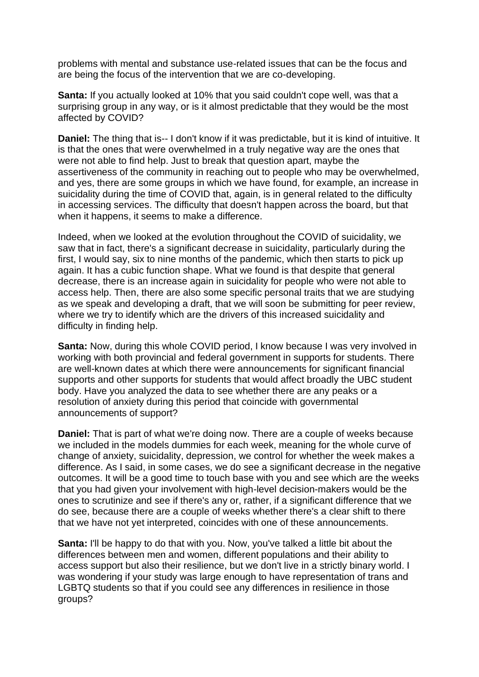problems with mental and substance use-related issues that can be the focus and are being the focus of the intervention that we are co-developing.

**Santa:** If you actually looked at 10% that you said couldn't cope well, was that a surprising group in any way, or is it almost predictable that they would be the most affected by COVID?

**Daniel:** The thing that is-- I don't know if it was predictable, but it is kind of intuitive. It is that the ones that were overwhelmed in a truly negative way are the ones that were not able to find help. Just to break that question apart, maybe the assertiveness of the community in reaching out to people who may be overwhelmed, and yes, there are some groups in which we have found, for example, an increase in suicidality during the time of COVID that, again, is in general related to the difficulty in accessing services. The difficulty that doesn't happen across the board, but that when it happens, it seems to make a difference.

Indeed, when we looked at the evolution throughout the COVID of suicidality, we saw that in fact, there's a significant decrease in suicidality, particularly during the first, I would say, six to nine months of the pandemic, which then starts to pick up again. It has a cubic function shape. What we found is that despite that general decrease, there is an increase again in suicidality for people who were not able to access help. Then, there are also some specific personal traits that we are studying as we speak and developing a draft, that we will soon be submitting for peer review, where we try to identify which are the drivers of this increased suicidality and difficulty in finding help.

**Santa:** Now, during this whole COVID period, I know because I was very involved in working with both provincial and federal government in supports for students. There are well-known dates at which there were announcements for significant financial supports and other supports for students that would affect broadly the UBC student body. Have you analyzed the data to see whether there are any peaks or a resolution of anxiety during this period that coincide with governmental announcements of support?

**Daniel:** That is part of what we're doing now. There are a couple of weeks because we included in the models dummies for each week, meaning for the whole curve of change of anxiety, suicidality, depression, we control for whether the week makes a difference. As I said, in some cases, we do see a significant decrease in the negative outcomes. It will be a good time to touch base with you and see which are the weeks that you had given your involvement with high-level decision-makers would be the ones to scrutinize and see if there's any or, rather, if a significant difference that we do see, because there are a couple of weeks whether there's a clear shift to there that we have not yet interpreted, coincides with one of these announcements.

**Santa:** I'll be happy to do that with you. Now, you've talked a little bit about the differences between men and women, different populations and their ability to access support but also their resilience, but we don't live in a strictly binary world. I was wondering if your study was large enough to have representation of trans and LGBTQ students so that if you could see any differences in resilience in those groups?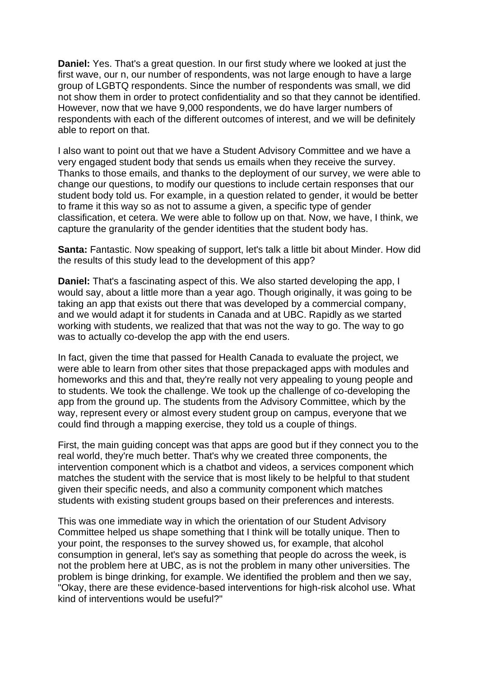**Daniel:** Yes. That's a great question. In our first study where we looked at just the first wave, our n, our number of respondents, was not large enough to have a large group of LGBTQ respondents. Since the number of respondents was small, we did not show them in order to protect confidentiality and so that they cannot be identified. However, now that we have 9,000 respondents, we do have larger numbers of respondents with each of the different outcomes of interest, and we will be definitely able to report on that.

I also want to point out that we have a Student Advisory Committee and we have a very engaged student body that sends us emails when they receive the survey. Thanks to those emails, and thanks to the deployment of our survey, we were able to change our questions, to modify our questions to include certain responses that our student body told us. For example, in a question related to gender, it would be better to frame it this way so as not to assume a given, a specific type of gender classification, et cetera. We were able to follow up on that. Now, we have, I think, we capture the granularity of the gender identities that the student body has.

**Santa:** Fantastic. Now speaking of support, let's talk a little bit about Minder. How did the results of this study lead to the development of this app?

**Daniel:** That's a fascinating aspect of this. We also started developing the app. I would say, about a little more than a year ago. Though originally, it was going to be taking an app that exists out there that was developed by a commercial company, and we would adapt it for students in Canada and at UBC. Rapidly as we started working with students, we realized that that was not the way to go. The way to go was to actually co-develop the app with the end users.

In fact, given the time that passed for Health Canada to evaluate the project, we were able to learn from other sites that those prepackaged apps with modules and homeworks and this and that, they're really not very appealing to young people and to students. We took the challenge. We took up the challenge of co-developing the app from the ground up. The students from the Advisory Committee, which by the way, represent every or almost every student group on campus, everyone that we could find through a mapping exercise, they told us a couple of things.

First, the main guiding concept was that apps are good but if they connect you to the real world, they're much better. That's why we created three components, the intervention component which is a chatbot and videos, a services component which matches the student with the service that is most likely to be helpful to that student given their specific needs, and also a community component which matches students with existing student groups based on their preferences and interests.

This was one immediate way in which the orientation of our Student Advisory Committee helped us shape something that I think will be totally unique. Then to your point, the responses to the survey showed us, for example, that alcohol consumption in general, let's say as something that people do across the week, is not the problem here at UBC, as is not the problem in many other universities. The problem is binge drinking, for example. We identified the problem and then we say, "Okay, there are these evidence-based interventions for high-risk alcohol use. What kind of interventions would be useful?"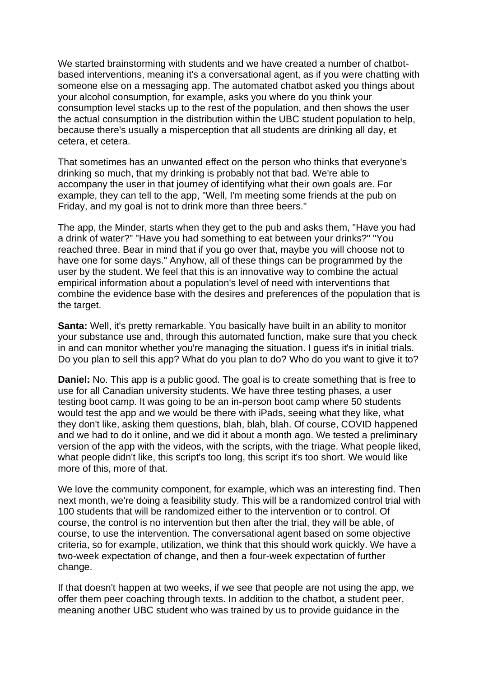We started brainstorming with students and we have created a number of chatbotbased interventions, meaning it's a conversational agent, as if you were chatting with someone else on a messaging app. The automated chatbot asked you things about your alcohol consumption, for example, asks you where do you think your consumption level stacks up to the rest of the population, and then shows the user the actual consumption in the distribution within the UBC student population to help, because there's usually a misperception that all students are drinking all day, et cetera, et cetera.

That sometimes has an unwanted effect on the person who thinks that everyone's drinking so much, that my drinking is probably not that bad. We're able to accompany the user in that journey of identifying what their own goals are. For example, they can tell to the app, "Well, I'm meeting some friends at the pub on Friday, and my goal is not to drink more than three beers."

The app, the Minder, starts when they get to the pub and asks them, "Have you had a drink of water?" "Have you had something to eat between your drinks?" "You reached three. Bear in mind that if you go over that, maybe you will choose not to have one for some days." Anyhow, all of these things can be programmed by the user by the student. We feel that this is an innovative way to combine the actual empirical information about a population's level of need with interventions that combine the evidence base with the desires and preferences of the population that is the target.

**Santa:** Well, it's pretty remarkable. You basically have built in an ability to monitor your substance use and, through this automated function, make sure that you check in and can monitor whether you're managing the situation. I guess it's in initial trials. Do you plan to sell this app? What do you plan to do? Who do you want to give it to?

**Daniel:** No. This app is a public good. The goal is to create something that is free to use for all Canadian university students. We have three testing phases, a user testing boot camp. It was going to be an in-person boot camp where 50 students would test the app and we would be there with iPads, seeing what they like, what they don't like, asking them questions, blah, blah, blah. Of course, COVID happened and we had to do it online, and we did it about a month ago. We tested a preliminary version of the app with the videos, with the scripts, with the triage. What people liked, what people didn't like, this script's too long, this script it's too short. We would like more of this, more of that.

We love the community component, for example, which was an interesting find. Then next month, we're doing a feasibility study. This will be a randomized control trial with 100 students that will be randomized either to the intervention or to control. Of course, the control is no intervention but then after the trial, they will be able, of course, to use the intervention. The conversational agent based on some objective criteria, so for example, utilization, we think that this should work quickly. We have a two-week expectation of change, and then a four-week expectation of further change.

If that doesn't happen at two weeks, if we see that people are not using the app, we offer them peer coaching through texts. In addition to the chatbot, a student peer, meaning another UBC student who was trained by us to provide guidance in the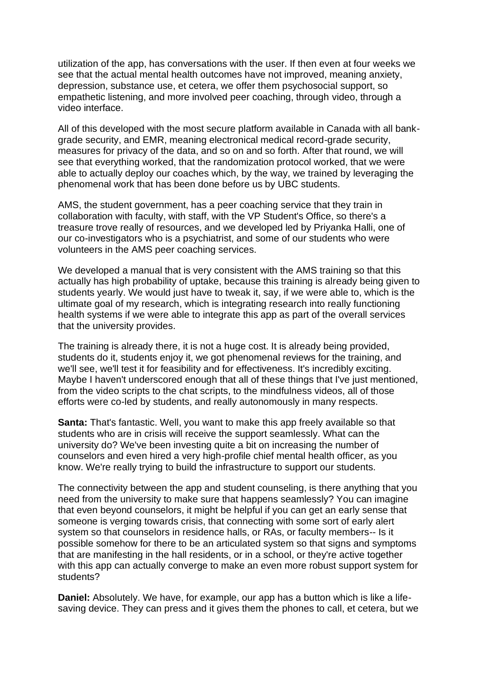utilization of the app, has conversations with the user. If then even at four weeks we see that the actual mental health outcomes have not improved, meaning anxiety, depression, substance use, et cetera, we offer them psychosocial support, so empathetic listening, and more involved peer coaching, through video, through a video interface.

All of this developed with the most secure platform available in Canada with all bankgrade security, and EMR, meaning electronical medical record-grade security, measures for privacy of the data, and so on and so forth. After that round, we will see that everything worked, that the randomization protocol worked, that we were able to actually deploy our coaches which, by the way, we trained by leveraging the phenomenal work that has been done before us by UBC students.

AMS, the student government, has a peer coaching service that they train in collaboration with faculty, with staff, with the VP Student's Office, so there's a treasure trove really of resources, and we developed led by Priyanka Halli, one of our co-investigators who is a psychiatrist, and some of our students who were volunteers in the AMS peer coaching services.

We developed a manual that is very consistent with the AMS training so that this actually has high probability of uptake, because this training is already being given to students yearly. We would just have to tweak it, say, if we were able to, which is the ultimate goal of my research, which is integrating research into really functioning health systems if we were able to integrate this app as part of the overall services that the university provides.

The training is already there, it is not a huge cost. It is already being provided, students do it, students enjoy it, we got phenomenal reviews for the training, and we'll see, we'll test it for feasibility and for effectiveness. It's incredibly exciting. Maybe I haven't underscored enough that all of these things that I've just mentioned, from the video scripts to the chat scripts, to the mindfulness videos, all of those efforts were co-led by students, and really autonomously in many respects.

**Santa:** That's fantastic. Well, you want to make this app freely available so that students who are in crisis will receive the support seamlessly. What can the university do? We've been investing quite a bit on increasing the number of counselors and even hired a very high-profile chief mental health officer, as you know. We're really trying to build the infrastructure to support our students.

The connectivity between the app and student counseling, is there anything that you need from the university to make sure that happens seamlessly? You can imagine that even beyond counselors, it might be helpful if you can get an early sense that someone is verging towards crisis, that connecting with some sort of early alert system so that counselors in residence halls, or RAs, or faculty members-- Is it possible somehow for there to be an articulated system so that signs and symptoms that are manifesting in the hall residents, or in a school, or they're active together with this app can actually converge to make an even more robust support system for students?

**Daniel:** Absolutely. We have, for example, our app has a button which is like a lifesaving device. They can press and it gives them the phones to call, et cetera, but we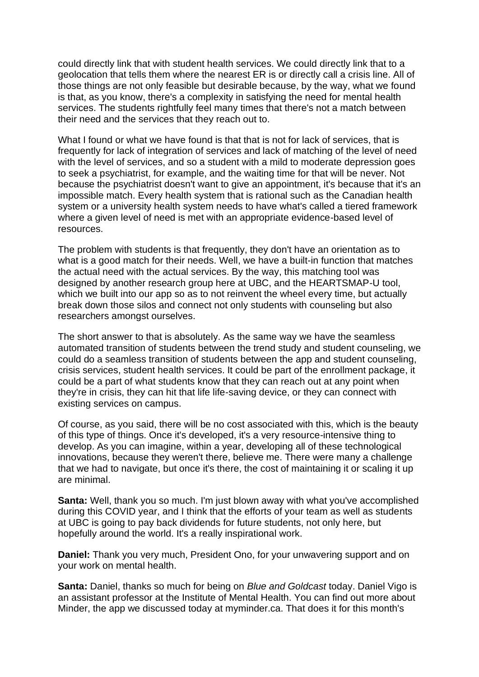could directly link that with student health services. We could directly link that to a geolocation that tells them where the nearest ER is or directly call a crisis line. All of those things are not only feasible but desirable because, by the way, what we found is that, as you know, there's a complexity in satisfying the need for mental health services. The students rightfully feel many times that there's not a match between their need and the services that they reach out to.

What I found or what we have found is that that is not for lack of services, that is frequently for lack of integration of services and lack of matching of the level of need with the level of services, and so a student with a mild to moderate depression goes to seek a psychiatrist, for example, and the waiting time for that will be never. Not because the psychiatrist doesn't want to give an appointment, it's because that it's an impossible match. Every health system that is rational such as the Canadian health system or a university health system needs to have what's called a tiered framework where a given level of need is met with an appropriate evidence-based level of resources.

The problem with students is that frequently, they don't have an orientation as to what is a good match for their needs. Well, we have a built-in function that matches the actual need with the actual services. By the way, this matching tool was designed by another research group here at UBC, and the HEARTSMAP-U tool, which we built into our app so as to not reinvent the wheel every time, but actually break down those silos and connect not only students with counseling but also researchers amongst ourselves.

The short answer to that is absolutely. As the same way we have the seamless automated transition of students between the trend study and student counseling, we could do a seamless transition of students between the app and student counseling, crisis services, student health services. It could be part of the enrollment package, it could be a part of what students know that they can reach out at any point when they're in crisis, they can hit that life life-saving device, or they can connect with existing services on campus.

Of course, as you said, there will be no cost associated with this, which is the beauty of this type of things. Once it's developed, it's a very resource-intensive thing to develop. As you can imagine, within a year, developing all of these technological innovations, because they weren't there, believe me. There were many a challenge that we had to navigate, but once it's there, the cost of maintaining it or scaling it up are minimal.

**Santa:** Well, thank you so much. I'm just blown away with what you've accomplished during this COVID year, and I think that the efforts of your team as well as students at UBC is going to pay back dividends for future students, not only here, but hopefully around the world. It's a really inspirational work.

**Daniel:** Thank you very much, President Ono, for your unwavering support and on your work on mental health.

**Santa:** Daniel, thanks so much for being on *Blue and Goldcast* today. Daniel Vigo is an assistant professor at the Institute of Mental Health. You can find out more about Minder, the app we discussed today at myminder.ca. That does it for this month's